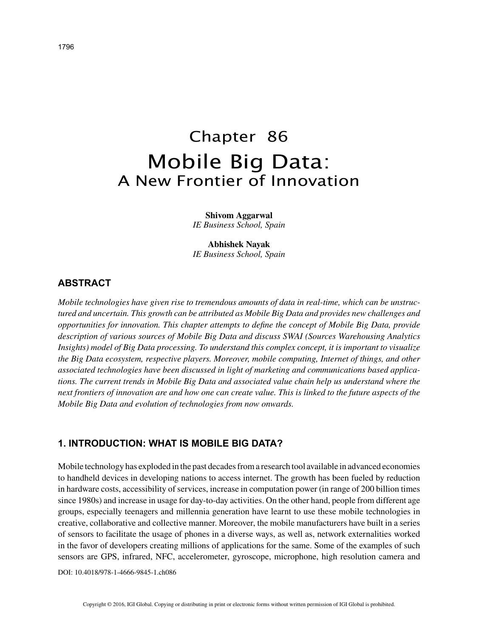# Chapter 86 Mobile Big Data: A New Frontier of Innovation

**Shivom Aggarwal** *IE Business School, Spain*

**Abhishek Nayak** *IE Business School, Spain*

## **ABSTRACT**

*Mobile technologies have given rise to tremendous amounts of data in real-time, which can be unstructured and uncertain. This growth can be attributed as Mobile Big Data and provides new challenges and opportunities for innovation. This chapter attempts to define the concept of Mobile Big Data, provide description of various sources of Mobile Big Data and discuss SWAI (Sources Warehousing Analytics Insights) model of Big Data processing. To understand this complex concept, it is important to visualize the Big Data ecosystem, respective players. Moreover, mobile computing, Internet of things, and other associated technologies have been discussed in light of marketing and communications based applications. The current trends in Mobile Big Data and associated value chain help us understand where the next frontiers of innovation are and how one can create value. This is linked to the future aspects of the Mobile Big Data and evolution of technologies from now onwards.*

## **1. INTRODUCTION: WHAT IS MOBILE BIG DATA?**

Mobile technology has exploded in the past decades from a research tool available in advanced economies to handheld devices in developing nations to access internet. The growth has been fueled by reduction in hardware costs, accessibility of services, increase in computation power (in range of 200 billion times since 1980s) and increase in usage for day-to-day activities. On the other hand, people from different age groups, especially teenagers and millennia generation have learnt to use these mobile technologies in creative, collaborative and collective manner. Moreover, the mobile manufacturers have built in a series of sensors to facilitate the usage of phones in a diverse ways, as well as, network externalities worked in the favor of developers creating millions of applications for the same. Some of the examples of such sensors are GPS, infrared, NFC, accelerometer, gyroscope, microphone, high resolution camera and

DOI: 10.4018/978-1-4666-9845-1.ch086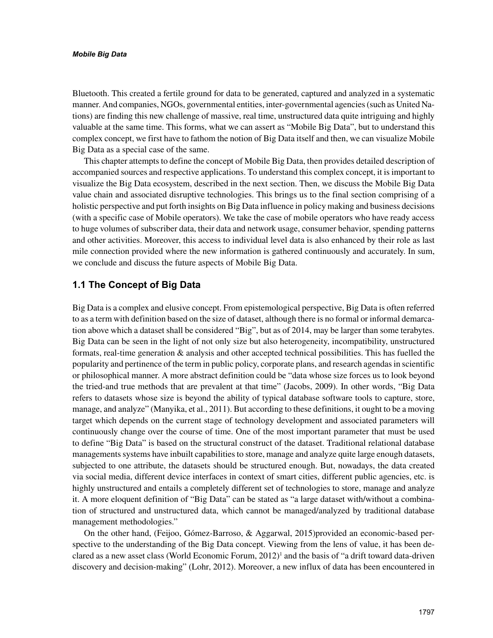#### *Mobile Big Data*

Bluetooth. This created a fertile ground for data to be generated, captured and analyzed in a systematic manner. And companies, NGOs, governmental entities, inter-governmental agencies (such as United Nations) are finding this new challenge of massive, real time, unstructured data quite intriguing and highly valuable at the same time. This forms, what we can assert as "Mobile Big Data", but to understand this complex concept, we first have to fathom the notion of Big Data itself and then, we can visualize Mobile Big Data as a special case of the same.

This chapter attempts to define the concept of Mobile Big Data, then provides detailed description of accompanied sources and respective applications. To understand this complex concept, it is important to visualize the Big Data ecosystem, described in the next section. Then, we discuss the Mobile Big Data value chain and associated disruptive technologies. This brings us to the final section comprising of a holistic perspective and put forth insights on Big Data influence in policy making and business decisions (with a specific case of Mobile operators). We take the case of mobile operators who have ready access to huge volumes of subscriber data, their data and network usage, consumer behavior, spending patterns and other activities. Moreover, this access to individual level data is also enhanced by their role as last mile connection provided where the new information is gathered continuously and accurately. In sum, we conclude and discuss the future aspects of Mobile Big Data.

## **1.1 The Concept of Big Data**

Big Data is a complex and elusive concept. From epistemological perspective, Big Data is often referred to as a term with definition based on the size of dataset, although there is no formal or informal demarcation above which a dataset shall be considered "Big", but as of 2014, may be larger than some terabytes. Big Data can be seen in the light of not only size but also heterogeneity, incompatibility, unstructured formats, real-time generation & analysis and other accepted technical possibilities. This has fuelled the popularity and pertinence of the term in public policy, corporate plans, and research agendas in scientific or philosophical manner. A more abstract definition could be "data whose size forces us to look beyond the tried-and true methods that are prevalent at that time" (Jacobs, 2009). In other words, "Big Data refers to datasets whose size is beyond the ability of typical database software tools to capture, store, manage, and analyze" (Manyika, et al., 2011). But according to these definitions, it ought to be a moving target which depends on the current stage of technology development and associated parameters will continuously change over the course of time. One of the most important parameter that must be used to define "Big Data" is based on the structural construct of the dataset. Traditional relational database managements systems have inbuilt capabilities to store, manage and analyze quite large enough datasets, subjected to one attribute, the datasets should be structured enough. But, nowadays, the data created via social media, different device interfaces in context of smart cities, different public agencies, etc. is highly unstructured and entails a completely different set of technologies to store, manage and analyze it. A more eloquent definition of "Big Data" can be stated as "a large dataset with/without a combination of structured and unstructured data, which cannot be managed/analyzed by traditional database management methodologies."

On the other hand, (Feijoo, Gómez-Barroso, & Aggarwal, 2015)provided an economic-based perspective to the understanding of the Big Data concept. Viewing from the lens of value, it has been declared as a new asset class (World Economic Forum,  $2012$ )<sup>1</sup> and the basis of "a drift toward data-driven discovery and decision-making" (Lohr, 2012). Moreover, a new influx of data has been encountered in